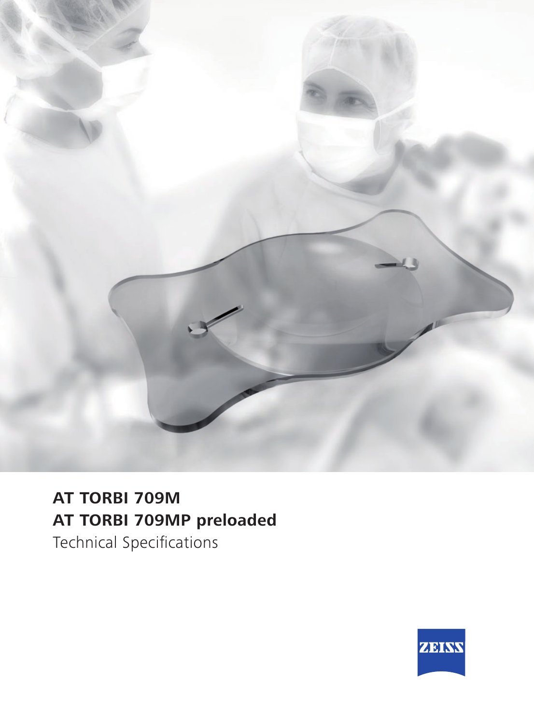

## **AT TORBI 709M AT TORBI 709MP preloaded**

Technical Specifications

![](_page_0_Picture_3.jpeg)